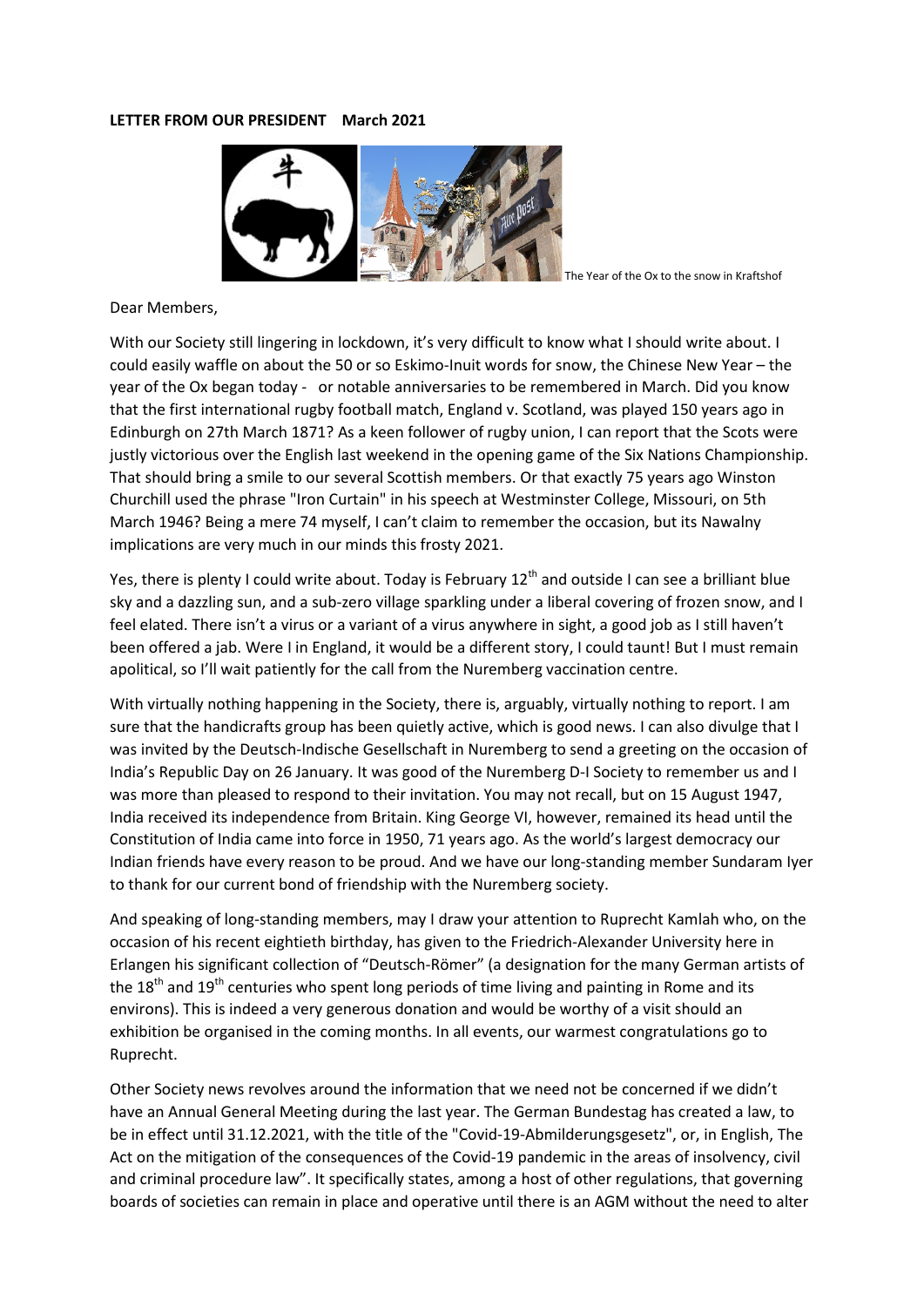## **LETTER FROM OUR PRESIDENT March 2021**



The Year of the Ox to the snow in Kraftshof

## Dear Members,

With our Society still lingering in lockdown, it's very difficult to know what I should write about. I could easily waffle on about the 50 or so Eskimo-Inuit words for snow, the Chinese New Year – the year of the Ox began today - or notable anniversaries to be remembered in March. Did you know that the first international rugby football match, England v. Scotland, was played 150 years ago in Edinburgh on 27th March 1871? As a keen follower of rugby union, I can report that the Scots were justly victorious over the English last weekend in the opening game of the Six Nations Championship. That should bring a smile to our several Scottish members. Or that exactly 75 years ago Winston Churchill used the phrase "Iron Curtain" in his speech at Westminster College, Missouri, on 5th March 1946? Being a mere 74 myself, I can't claim to remember the occasion, but its Nawalny implications are very much in our minds this frosty 2021.

Yes, there is plenty I could write about. Today is February 12<sup>th</sup> and outside I can see a brilliant blue sky and a dazzling sun, and a sub-zero village sparkling under a liberal covering of frozen snow, and I feel elated. There isn't a virus or a variant of a virus anywhere in sight, a good job as I still haven't been offered a jab. Were I in England, it would be a different story, I could taunt! But I must remain apolitical, so I'll wait patiently for the call from the Nuremberg vaccination centre.

With virtually nothing happening in the Society, there is, arguably, virtually nothing to report. I am sure that the handicrafts group has been quietly active, which is good news. I can also divulge that I was invited by the Deutsch-Indische Gesellschaft in Nuremberg to send a greeting on the occasion of India's Republic Day on 26 January. It was good of the Nuremberg D-I Society to remember us and I was more than pleased to respond to their invitation. You may not recall, but on 15 August 1947, India received its independence from Britain. King George VI, however, remained its head until the Constitution of India came into force in 1950, 71 years ago. As the world's largest democracy our Indian friends have every reason to be proud. And we have our long-standing member Sundaram Iyer to thank for our current bond of friendship with the Nuremberg society.

And speaking of long-standing members, may I draw your attention to Ruprecht Kamlah who, on the occasion of his recent eightieth birthday, has given to the Friedrich-Alexander University here in Erlangen his significant collection of "Deutsch-Römer" (a designation for the many German artists of the  $18<sup>th</sup>$  and  $19<sup>th</sup>$  centuries who spent long periods of time living and painting in Rome and its environs). This is indeed a very generous donation and would be worthy of a visit should an exhibition be organised in the coming months. In all events, our warmest congratulations go to Ruprecht.

Other Society news revolves around the information that we need not be concerned if we didn't have an Annual General Meeting during the last year. The German Bundestag has created a law, to be in effect until 31.12.2021, with the title of the "Covid-19-Abmilderungsgesetz", or, in English, The Act on the mitigation of the consequences of the Covid-19 pandemic in the areas of insolvency, civil and criminal procedure law". It specifically states, among a host of other regulations, that governing boards of societies can remain in place and operative until there is an AGM without the need to alter